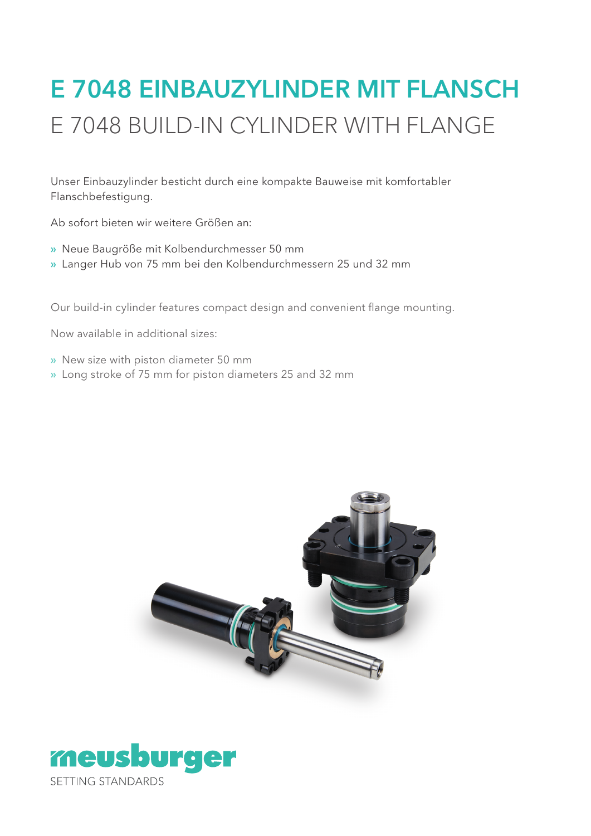# E 7048 EINBAUZYLINDER MIT FLANSCH E 7048 BUILD-IN CYLINDER WITH FLANGE

Unser Einbauzylinder besticht durch eine kompakte Bauweise mit komfortabler Flanschbefestigung.

Ab sofort bieten wir weitere Größen an:

- » Neue Baugröße mit Kolbendurchmesser 50 mm
- » Langer Hub von 75 mm bei den Kolbendurchmessern 25 und 32 mm

Our build-in cylinder features compact design and convenient flange mounting.

Now available in additional sizes:

- » New size with piston diameter 50 mm
- » Long stroke of 75 mm for piston diameters 25 and 32 mm



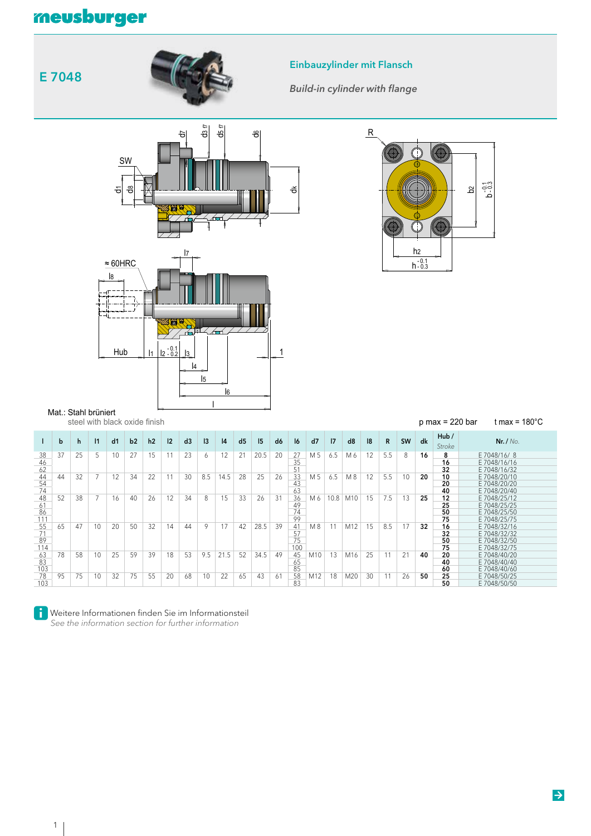## meusburger





<u>l1 | l2 - 0.2 | \_l3</u>

Hub

l4 l5

l6

1 - 0.1

Einbauzylinder mit Flansch

*Build-in cylinder with flange*



|                        | steel with black oxide finish |    |           |    |    |                |    |    |     |      |                |      |                |                       |     |      | $p$ max = 220 bar | t max = $180^{\circ}$ C |              |           |    |                      |                                                              |
|------------------------|-------------------------------|----|-----------|----|----|----------------|----|----|-----|------|----------------|------|----------------|-----------------------|-----|------|-------------------|-------------------------|--------------|-----------|----|----------------------|--------------------------------------------------------------|
|                        | b                             | h. | $\vert$ 1 | d1 | b2 | h <sub>2</sub> | 12 | d3 | 3   | 4    | d <sub>5</sub> | 5    | d <sub>6</sub> | 16                    | d7  | 7    | d8                | 8                       | $\mathsf{R}$ | <b>SW</b> | dk | Hub/<br>Stroke       | Nr. / No.                                                    |
| 38<br>46<br>62         | 37                            | 25 | 5         | 10 | 27 | 15             | 11 | 23 | 6   | 12   | 21             | 20.5 | 20             | 27<br>35<br>51        | M 5 | 6.5  | M6                | 12                      | 5.5          | 8         | 16 | 8<br>16<br>32        | E 7048/16/8<br>E 7048/16/16<br>E 7048/16/32                  |
| 44<br>54<br>74         | 44                            | 32 |           | 12 | 34 | 22             | 11 | 30 | 8.5 | 14.5 | 28             | 25   | 26             | 33<br>43<br>63        | M 5 | 6.5  | M 8               | 12                      | 5.5          | 10        | 20 | 10<br>20<br>40       | E 7048/20/10<br>E 7048/20/20<br>E 7048/20/40                 |
| 48<br>61<br>86         | 52                            | 38 |           | 16 | 40 | 26             | 12 | 34 | 8   | 15   | 33             | 26   | 31             | 36<br>49<br>74        | M 6 | 10.8 | M10               | 15                      | 7.5          | 13        | 25 | 12<br>25<br>50       | E 7048/25/12<br>E 7048/25/25<br>E 7048/25/50                 |
| 111<br>55<br>71<br>89  | 65                            | 47 | 10        | 20 | 50 | 32             | 14 | 44 | 9   | 17   | 42             | 28.5 | 39             | 99<br>41<br>57<br>75  | M8  | 11   | M12               | 15                      | 8.5          | 17        | 32 | 75<br>16<br>32<br>50 | E 7048/25/75<br>E 7048/32/16<br>E 7048/32/32<br>E 7048/32/50 |
| 114<br>63<br>83<br>103 | 78                            | 58 | 10        | 25 | 59 | 39             | 18 | 53 | 9.5 | 21.5 | 52             | 34.5 | 49             | 100<br>45<br>65<br>85 | M10 | 13   | M16               | 25                      | 11           | 21        | 40 | 75<br>20<br>40<br>60 | E 7048/32/75<br>E 7048/40/20<br>E 7048/40/40<br>E 7048/40/60 |
| 78<br>103              | 95                            | 75 | 10        | 32 | 75 | 55             | 20 | 68 | 10  | 22   | 65             | 43   | 61             | 58<br>83              | M12 | 18   | M20               | 30                      | 11           | 26        | 50 | 25<br>50             | E 7048/50/25<br>E 7048/50/50                                 |



Mat.: Stahl brüniert

**E Weitere Informationen finden Sie im Informationsteil** 

 *See the information section for further information*